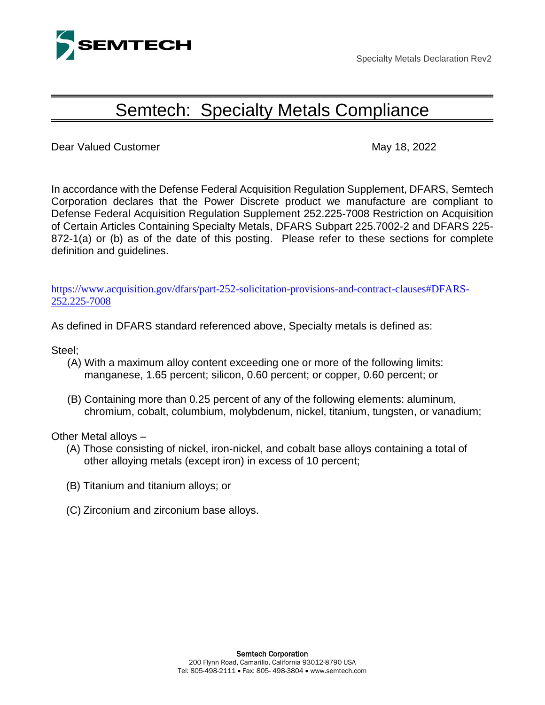

Specialty Metals Declaration Rev2

## Semtech: Specialty Metals Compliance

Dear Valued Customer May 18, 2022

In accordance with the Defense Federal Acquisition Regulation Supplement, DFARS, Semtech Corporation declares that the Power Discrete product we manufacture are compliant to Defense Federal Acquisition Regulation Supplement 252.225-7008 Restriction on Acquisition of Certain Articles Containing Specialty Metals, DFARS Subpart 225.7002-2 and DFARS 225- 872-1(a) or (b) as of the date of this posting. Please refer to these sections for complete definition and guidelines.

[https://www.acquisition.gov/dfars/part-252-solicitation-provisions-and-contract-clauses#DFARS-](https://www.acquisition.gov/dfars/part-252-solicitation-provisions-and-contract-clauses#DFARS-252.225-7008)[252.225-7008](https://www.acquisition.gov/dfars/part-252-solicitation-provisions-and-contract-clauses#DFARS-252.225-7008)

As defined in DFARS standard referenced above, Specialty metals is defined as:

Steel;

- (A) With a maximum alloy content exceeding one or more of the following limits: manganese, 1.65 percent; silicon, 0.60 percent; or copper, 0.60 percent; or
- (B) Containing more than 0.25 percent of any of the following elements: aluminum, chromium, cobalt, columbium, molybdenum, nickel, titanium, tungsten, or vanadium;

Other Metal alloys –

- (A) Those consisting of nickel, iron‐nickel, and cobalt base alloys containing a total of other alloying metals (except iron) in excess of 10 percent;
- (B) Titanium and titanium alloys; or
- (C) Zirconium and zirconium base alloys.